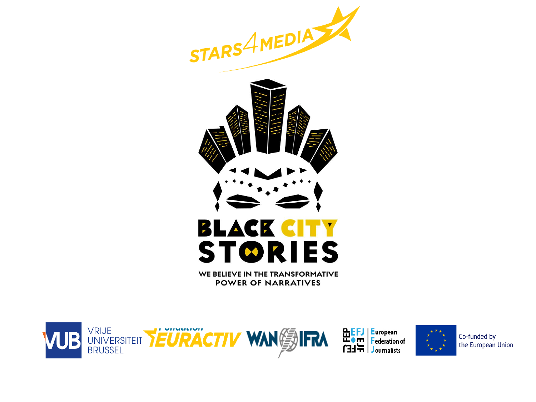



WE BELIEVE IN THE TRANSFORMATIVE **POWER OF NARRATIVES** 



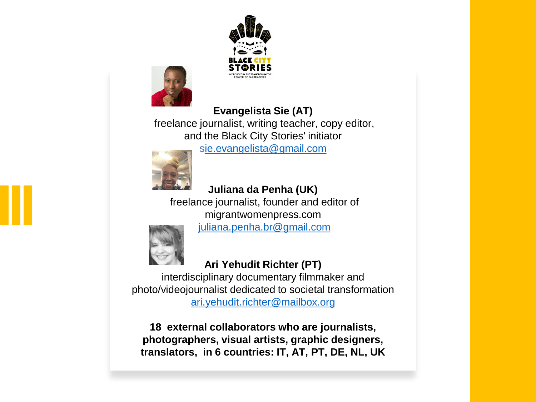



### **Evangelista Sie (AT)**

freelance journalist, writing teacher, copy editor, and the Black City Stories' initiator

s[ie.evangelista@gmail.com](mailto:sie.evangelista@gmail.comL)



# **Juliana da Penha (UK)**

freelance journalist, founder and editor of migrantwomenpress.com [juliana.penha.br@gmail.com](mailto:juliana.penha.br@gmail.com)



## **Ari Yehudit Richter (PT)**

interdisciplinary documentary filmmaker and photo/videojournalist dedicated to societal transformation [ari.yehudit.richter@mailbox.org](mailto:ari.yehudit.richter@mailbox.org)

**18 external collaborators who are journalists, photographers, visual artists, graphic designers, translators, in 6 countries: IT, AT, PT, DE, NL, UK**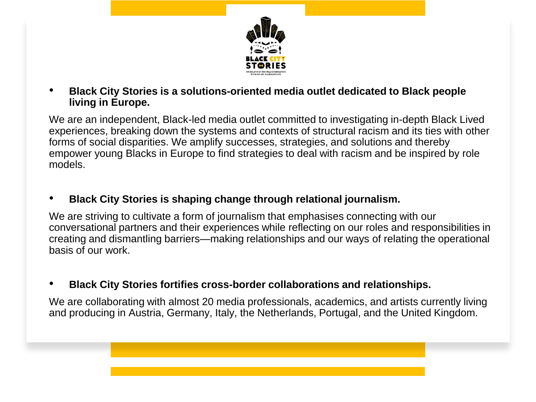

• **Black City Stories is a solutions-oriented media outlet dedicated to Black people living in Europe.**

We are an independent, Black-led media outlet committed to investigating in-depth Black Lived experiences, breaking down the systems and contexts of structural racism and its ties with other forms of social disparities. We amplify successes, strategies, and solutions and thereby empower young Blacks in Europe to find strategies to deal with racism and be inspired by role models.

• **Black City Stories is shaping change through relational journalism.** 

We are striving to cultivate a form of journalism that emphasises connecting with our conversational partners and their experiences while reflecting on our roles and responsibilities in creating and dismantling barriers—making relationships and our ways of relating the operational basis of our work.

• **Black City Stories fortifies cross-border collaborations and relationships.**

We are collaborating with almost 20 media professionals, academics, and artists currently living and producing in Austria, Germany, Italy, the Netherlands, Portugal, and the United Kingdom.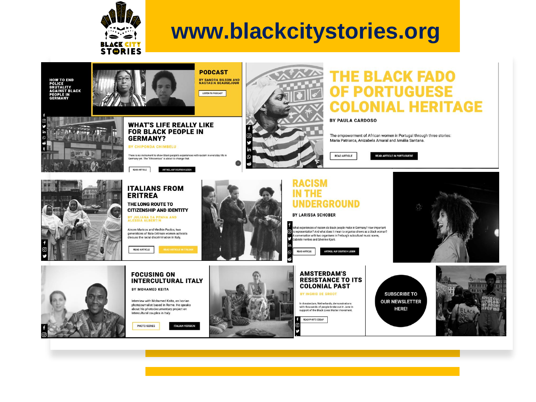

# **www.blackcitystories.org**

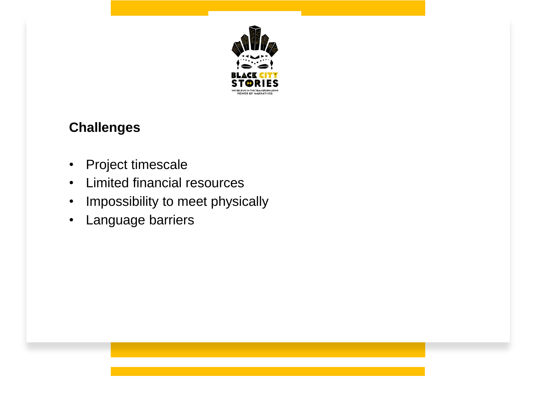

## **Challenges**

- Project timescale
- Limited financial resources
- Impossibility to meet physically
- Language barriers